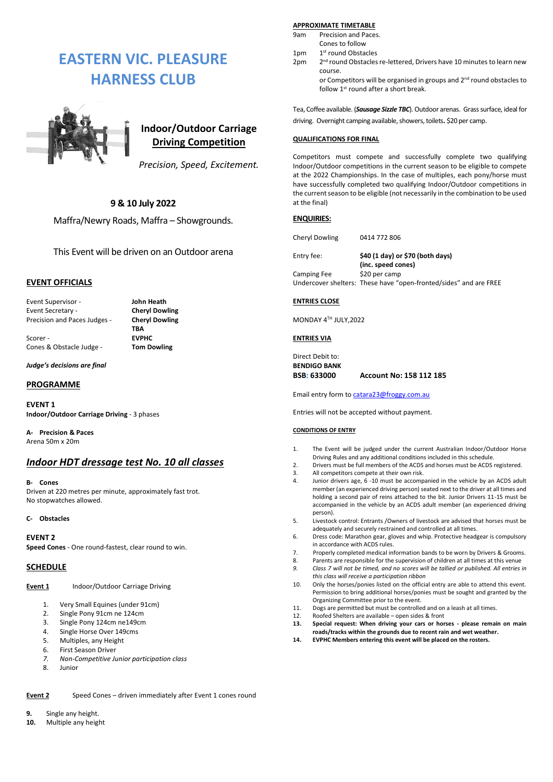# **EASTERN VIC. PLEASURE HARNESS CLUB**



## **Indoor/Outdoor Carriage Driving Competition**

*Precision, Speed, Excitement.*

#### **9 & 10 July 2022**

Maffra/Newry Roads, Maffra – Showgrounds.

This Event will be driven on an Outdoor arena

#### **EVENT OFFICIALS**

Event Supervisor - **John Heath** Event Secretary - **Cheryl Dowling** Precision and Paces Judges - **Cheryl Dowling**

Scorer - **EVPHC** Cones & Obstacle Judge - **Tom Dowling**

**TBA**

*Judge's decisions are final*

#### **PROGRAMME**

**EVENT 1 Indoor/Outdoor Carriage Driving** - 3 phases

**A- Precision & Paces** Arena 50m x 20m

### *Indoor HDT dressage test No. 10 all classes*

#### **B- Cones**

Driven at 220 metres per minute, approximately fast trot. No stopwatches allowed.

#### **C- Obstacles**

**EVENT 2**

**Speed Cones** - One round-fastest, clear round to win.

#### **SCHEDULE**

**Event 1** Indoor/Outdoor Carriage Driving

- 1. Very Small Equines (under 91cm)<br>2. Single Pony 91cm ne 124cm
- Single Pony 91cm ne 124cm
- 3. Single Pony 124cm ne149cm
- 4. Single Horse Over 149cms
- 5. Multiples, any Height
- 6. First Season Driver
- *7. Non-Competitive Junior participation class*
- **Junior**

**Event 2** Speed Cones – driven immediately after Event 1 cones round

- **9.** Single any height.
- **10.** Multiple any height

#### **APPROXIMATE TIMETABLE**

9am Precision and Paces.

- Cones to follow  $1<sub>nm</sub>$ 1<sup>st</sup> round Obstacles
- 2pm 2 2<sup>nd</sup> round Obstacles re-lettered, Drivers have 10 minutes to learn new course.

or Competitors will be organised in groups and 2<sup>nd</sup> round obstacles to follow 1<sup>st</sup> round after a short break.

Tea, Coffee available. (*Sausage Sizzle TBC*). Outdoor arenas. Grass surface, ideal for driving. Overnight camping available, showers, toilets**.** \$20 per camp.

#### **QUALIFICATIONS FOR FINAL**

Competitors must compete and successfully complete two qualifying Indoor/Outdoor competitions in the current season to be eligible to compete at the 2022 Championships. In the case of multiples, each pony/horse must have successfully completed two qualifying Indoor/Outdoor competitions in the current season to be eligible (not necessarily in the combination to be used at the final)

#### **ENQUIRIES:**

Cheryl Dowling 0414 772 806

Entry fee: **\$40 (1 day) or \$70 (both days) (inc. speed cones)**  Camping Fee \$20 per camp Undercover shelters: These have "open-fronted/sides" and are FREE

#### **ENTRIES CLOSE**

MONDAY 4TH JULY,2022

#### **ENTRIES VIA**

Direct Debit to: **BENDIGO BANK BSB: 633000 Account No: 158 112 185**

Email entry form t[o catara23@froggy.com.au](mailto:catara23@froggy.com.au)

Entries will not be accepted without payment.

#### **CONDITIONS OF ENTRY**

- 1. The Event will be judged under the current Australian Indoor/Outdoor Horse Driving Rules and any additional conditions included in this schedule.
- 2. Drivers must be full members of the ACDS and horses must be ACDS registered.
- 3. All competitors compete at their own risk.<br>4  $\mu$  lunior drivers age 6-10 must be accomp
- Junior drivers age, 6 -10 must be accompanied in the vehicle by an ACDS adult member (an experienced driving person) seated next to the driver at all times and holding a second pair of reins attached to the bit. Junior Drivers 11-15 must be accompanied in the vehicle by an ACDS adult member (an experienced driving person).
- 5. Livestock control: Entrants /Owners of livestock are advised that horses must be adequately and securely restrained and controlled at all times.
- 6. Dress code: Marathon gear, gloves and whip. Protective headgear is compulsory in accordance with ACDS rules.
- 7. Properly completed medical information bands to be worn by Drivers & Grooms.
- 8. Parents are responsible for the supervision of children at all times at this venue<br>9. Class 7 will not be timed, and no scores will be tallied or published. All entries *9. Class 7 will not be timed, and no scores will be tallied or published. All entries in*
- *this class will receive a participation ribbon* 10. Only the horses/ponies listed on the official entry are able to attend this event. Permission to bring additional horses/ponies must be sought and granted by the
- Organizing Committee prior to the event. 11. Dogs are permitted but must be controlled and on a leash at all times.
- 12. Roofed Shelters are available open sides & front<br>13. Special request: When driving your cars or hor
- **13. Special request: When driving your cars or horses - please remain on main roads/tracks within the grounds due to recent rain and wet weather.**
- **14. EVPHC Members entering this event will be placed on the rosters.**